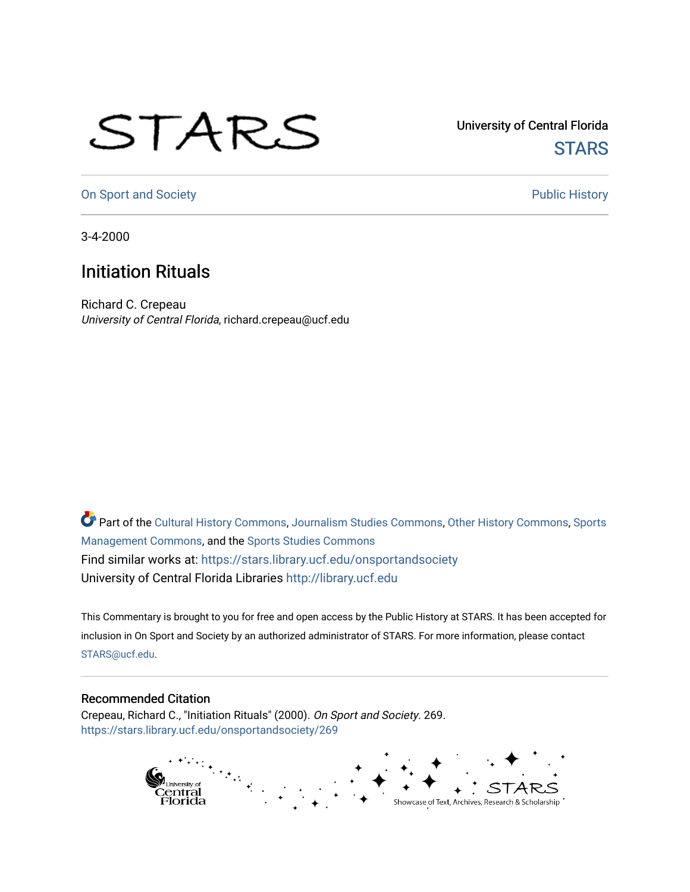## STARS

University of Central Florida **STARS** 

[On Sport and Society](https://stars.library.ucf.edu/onsportandsociety) **Public History** Public History

3-4-2000

## Initiation Rituals

Richard C. Crepeau University of Central Florida, richard.crepeau@ucf.edu

Part of the [Cultural History Commons](http://network.bepress.com/hgg/discipline/496?utm_source=stars.library.ucf.edu%2Fonsportandsociety%2F269&utm_medium=PDF&utm_campaign=PDFCoverPages), [Journalism Studies Commons,](http://network.bepress.com/hgg/discipline/333?utm_source=stars.library.ucf.edu%2Fonsportandsociety%2F269&utm_medium=PDF&utm_campaign=PDFCoverPages) [Other History Commons,](http://network.bepress.com/hgg/discipline/508?utm_source=stars.library.ucf.edu%2Fonsportandsociety%2F269&utm_medium=PDF&utm_campaign=PDFCoverPages) [Sports](http://network.bepress.com/hgg/discipline/1193?utm_source=stars.library.ucf.edu%2Fonsportandsociety%2F269&utm_medium=PDF&utm_campaign=PDFCoverPages) [Management Commons](http://network.bepress.com/hgg/discipline/1193?utm_source=stars.library.ucf.edu%2Fonsportandsociety%2F269&utm_medium=PDF&utm_campaign=PDFCoverPages), and the [Sports Studies Commons](http://network.bepress.com/hgg/discipline/1198?utm_source=stars.library.ucf.edu%2Fonsportandsociety%2F269&utm_medium=PDF&utm_campaign=PDFCoverPages) Find similar works at: <https://stars.library.ucf.edu/onsportandsociety> University of Central Florida Libraries [http://library.ucf.edu](http://library.ucf.edu/) 

This Commentary is brought to you for free and open access by the Public History at STARS. It has been accepted for inclusion in On Sport and Society by an authorized administrator of STARS. For more information, please contact [STARS@ucf.edu](mailto:STARS@ucf.edu).

## Recommended Citation

Crepeau, Richard C., "Initiation Rituals" (2000). On Sport and Society. 269. [https://stars.library.ucf.edu/onsportandsociety/269](https://stars.library.ucf.edu/onsportandsociety/269?utm_source=stars.library.ucf.edu%2Fonsportandsociety%2F269&utm_medium=PDF&utm_campaign=PDFCoverPages)

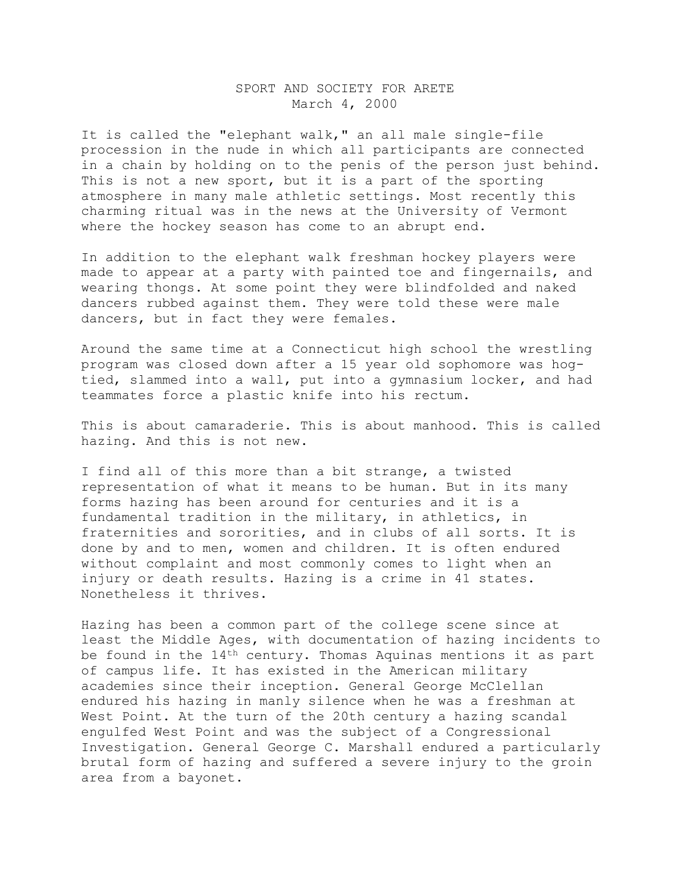## SPORT AND SOCIETY FOR ARETE March 4, 2000

It is called the "elephant walk," an all male single-file procession in the nude in which all participants are connected in a chain by holding on to the penis of the person just behind. This is not a new sport, but it is a part of the sporting atmosphere in many male athletic settings. Most recently this charming ritual was in the news at the University of Vermont where the hockey season has come to an abrupt end.

In addition to the elephant walk freshman hockey players were made to appear at a party with painted toe and fingernails, and wearing thongs. At some point they were blindfolded and naked dancers rubbed against them. They were told these were male dancers, but in fact they were females.

Around the same time at a Connecticut high school the wrestling program was closed down after a 15 year old sophomore was hogtied, slammed into a wall, put into a gymnasium locker, and had teammates force a plastic knife into his rectum.

This is about camaraderie. This is about manhood. This is called hazing. And this is not new.

I find all of this more than a bit strange, a twisted representation of what it means to be human. But in its many forms hazing has been around for centuries and it is a fundamental tradition in the military, in athletics, in fraternities and sororities, and in clubs of all sorts. It is done by and to men, women and children. It is often endured without complaint and most commonly comes to light when an injury or death results. Hazing is a crime in 41 states. Nonetheless it thrives.

Hazing has been a common part of the college scene since at least the Middle Ages, with documentation of hazing incidents to be found in the  $14<sup>th</sup>$  century. Thomas Aquinas mentions it as part of campus life. It has existed in the American military academies since their inception. General George McClellan endured his hazing in manly silence when he was a freshman at West Point. At the turn of the 20th century a hazing scandal engulfed West Point and was the subject of a Congressional Investigation. General George C. Marshall endured a particularly brutal form of hazing and suffered a severe injury to the groin area from a bayonet.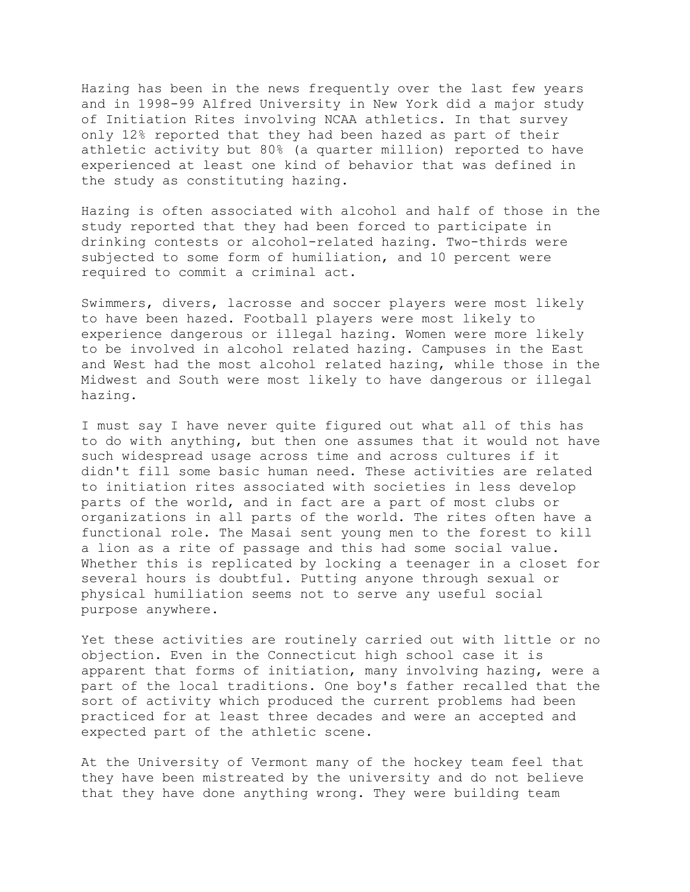Hazing has been in the news frequently over the last few years and in 1998-99 Alfred University in New York did a major study of Initiation Rites involving NCAA athletics. In that survey only 12% reported that they had been hazed as part of their athletic activity but 80% (a quarter million) reported to have experienced at least one kind of behavior that was defined in the study as constituting hazing.

Hazing is often associated with alcohol and half of those in the study reported that they had been forced to participate in drinking contests or alcohol-related hazing. Two-thirds were subjected to some form of humiliation, and 10 percent were required to commit a criminal act.

Swimmers, divers, lacrosse and soccer players were most likely to have been hazed. Football players were most likely to experience dangerous or illegal hazing. Women were more likely to be involved in alcohol related hazing. Campuses in the East and West had the most alcohol related hazing, while those in the Midwest and South were most likely to have dangerous or illegal hazing.

I must say I have never quite figured out what all of this has to do with anything, but then one assumes that it would not have such widespread usage across time and across cultures if it didn't fill some basic human need. These activities are related to initiation rites associated with societies in less develop parts of the world, and in fact are a part of most clubs or organizations in all parts of the world. The rites often have a functional role. The Masai sent young men to the forest to kill a lion as a rite of passage and this had some social value. Whether this is replicated by locking a teenager in a closet for several hours is doubtful. Putting anyone through sexual or physical humiliation seems not to serve any useful social purpose anywhere.

Yet these activities are routinely carried out with little or no objection. Even in the Connecticut high school case it is apparent that forms of initiation, many involving hazing, were a part of the local traditions. One boy's father recalled that the sort of activity which produced the current problems had been practiced for at least three decades and were an accepted and expected part of the athletic scene.

At the University of Vermont many of the hockey team feel that they have been mistreated by the university and do not believe that they have done anything wrong. They were building team